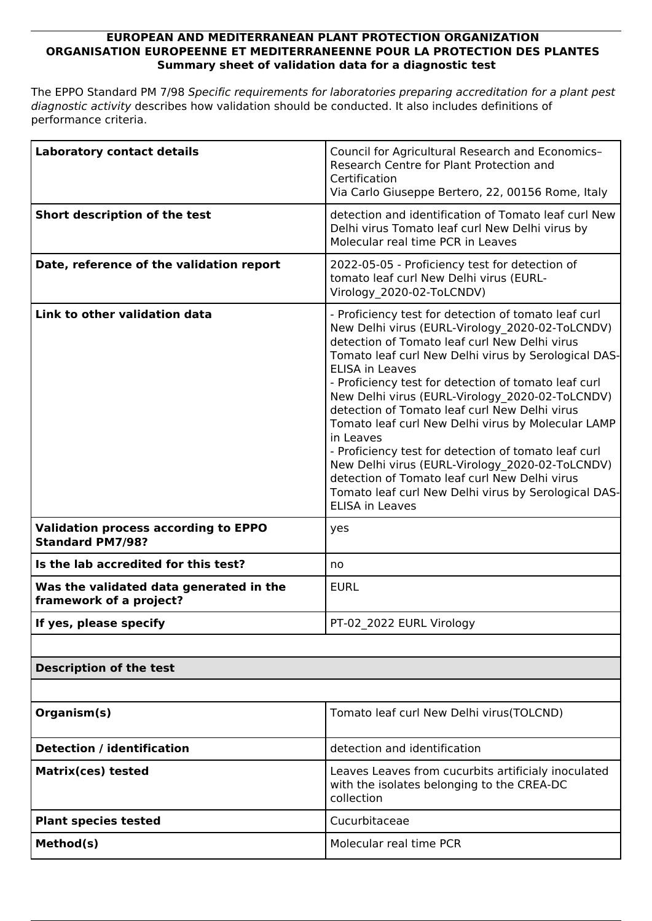## **EUROPEAN AND MEDITERRANEAN PLANT PROTECTION ORGANIZATION ORGANISATION EUROPEENNE ET MEDITERRANEENNE POUR LA PROTECTION DES PLANTES Summary sheet of validation data for a diagnostic test**

The EPPO Standard PM 7/98 *Specific requirements for laboratories preparing accreditation for a plant pest diagnostic activity* describes how validation should be conducted. It also includes definitions of performance criteria.

| <b>Laboratory contact details</b>                                      | Council for Agricultural Research and Economics-<br>Research Centre for Plant Protection and<br>Certification<br>Via Carlo Giuseppe Bertero, 22, 00156 Rome, Italy                                                                                                                                                                                                                                                                                                                                                                                                                                                                                                                                                      |  |
|------------------------------------------------------------------------|-------------------------------------------------------------------------------------------------------------------------------------------------------------------------------------------------------------------------------------------------------------------------------------------------------------------------------------------------------------------------------------------------------------------------------------------------------------------------------------------------------------------------------------------------------------------------------------------------------------------------------------------------------------------------------------------------------------------------|--|
| Short description of the test                                          | detection and identification of Tomato leaf curl New<br>Delhi virus Tomato leaf curl New Delhi virus by<br>Molecular real time PCR in Leaves                                                                                                                                                                                                                                                                                                                                                                                                                                                                                                                                                                            |  |
| Date, reference of the validation report                               | 2022-05-05 - Proficiency test for detection of<br>tomato leaf curl New Delhi virus (EURL-<br>Virology 2020-02-ToLCNDV)                                                                                                                                                                                                                                                                                                                                                                                                                                                                                                                                                                                                  |  |
| Link to other validation data                                          | - Proficiency test for detection of tomato leaf curl<br>New Delhi virus (EURL-Virology 2020-02-ToLCNDV)<br>detection of Tomato leaf curl New Delhi virus<br>Tomato leaf curl New Delhi virus by Serological DAS-<br><b>ELISA in Leaves</b><br>- Proficiency test for detection of tomato leaf curl<br>New Delhi virus (EURL-Virology 2020-02-ToLCNDV)<br>detection of Tomato leaf curl New Delhi virus<br>Tomato leaf curl New Delhi virus by Molecular LAMP<br>in Leaves<br>- Proficiency test for detection of tomato leaf curl<br>New Delhi virus (EURL-Virology 2020-02-ToLCNDV)<br>detection of Tomato leaf curl New Delhi virus<br>Tomato leaf curl New Delhi virus by Serological DAS-<br><b>ELISA in Leaves</b> |  |
| <b>Validation process according to EPPO</b><br><b>Standard PM7/98?</b> | yes                                                                                                                                                                                                                                                                                                                                                                                                                                                                                                                                                                                                                                                                                                                     |  |
| Is the lab accredited for this test?                                   | no                                                                                                                                                                                                                                                                                                                                                                                                                                                                                                                                                                                                                                                                                                                      |  |
| Was the validated data generated in the<br>framework of a project?     | <b>EURL</b>                                                                                                                                                                                                                                                                                                                                                                                                                                                                                                                                                                                                                                                                                                             |  |
| If yes, please specify                                                 | PT-02_2022 EURL Virology                                                                                                                                                                                                                                                                                                                                                                                                                                                                                                                                                                                                                                                                                                |  |
|                                                                        |                                                                                                                                                                                                                                                                                                                                                                                                                                                                                                                                                                                                                                                                                                                         |  |
| <b>Description of the test</b>                                         |                                                                                                                                                                                                                                                                                                                                                                                                                                                                                                                                                                                                                                                                                                                         |  |
|                                                                        |                                                                                                                                                                                                                                                                                                                                                                                                                                                                                                                                                                                                                                                                                                                         |  |
| Organism(s)                                                            | Tomato leaf curl New Delhi virus(TOLCND)                                                                                                                                                                                                                                                                                                                                                                                                                                                                                                                                                                                                                                                                                |  |
| <b>Detection / identification</b>                                      | detection and identification                                                                                                                                                                                                                                                                                                                                                                                                                                                                                                                                                                                                                                                                                            |  |
| <b>Matrix(ces) tested</b>                                              | Leaves Leaves from cucurbits artificialy inoculated<br>with the isolates belonging to the CREA-DC<br>collection                                                                                                                                                                                                                                                                                                                                                                                                                                                                                                                                                                                                         |  |
| <b>Plant species tested</b>                                            | Cucurbitaceae                                                                                                                                                                                                                                                                                                                                                                                                                                                                                                                                                                                                                                                                                                           |  |
| Method(s)                                                              | Molecular real time PCR                                                                                                                                                                                                                                                                                                                                                                                                                                                                                                                                                                                                                                                                                                 |  |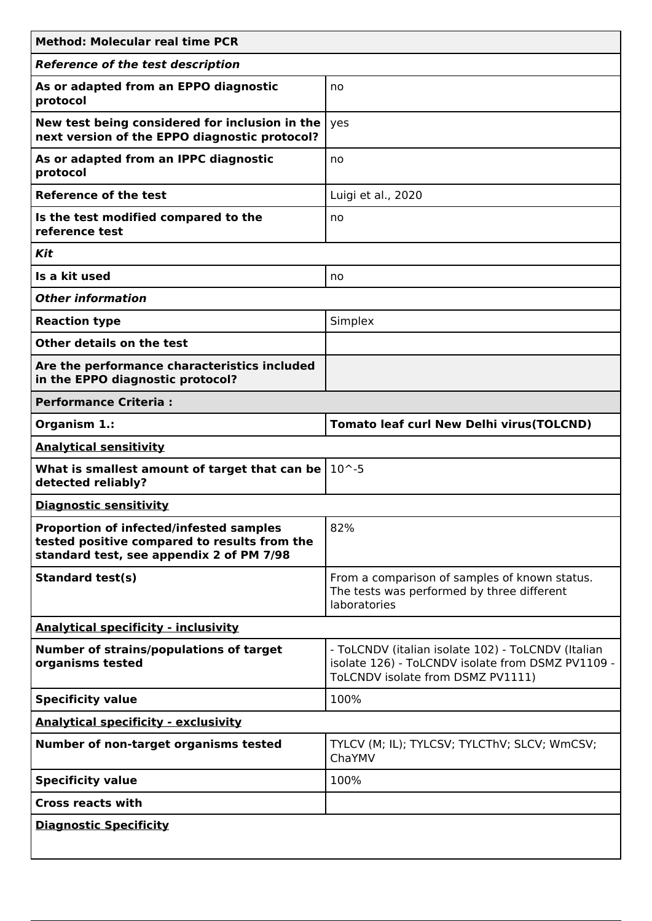| <b>Method: Molecular real time PCR</b>                                                                                                     |                                                                                                                                              |
|--------------------------------------------------------------------------------------------------------------------------------------------|----------------------------------------------------------------------------------------------------------------------------------------------|
| <b>Reference of the test description</b>                                                                                                   |                                                                                                                                              |
| As or adapted from an EPPO diagnostic<br>protocol                                                                                          | no                                                                                                                                           |
| New test being considered for inclusion in the<br>next version of the EPPO diagnostic protocol?                                            | yes                                                                                                                                          |
| As or adapted from an IPPC diagnostic<br>protocol                                                                                          | no                                                                                                                                           |
| <b>Reference of the test</b>                                                                                                               | Luigi et al., 2020                                                                                                                           |
| Is the test modified compared to the<br>reference test                                                                                     | no                                                                                                                                           |
| Kit                                                                                                                                        |                                                                                                                                              |
| Is a kit used                                                                                                                              | no                                                                                                                                           |
| <b>Other information</b>                                                                                                                   |                                                                                                                                              |
| <b>Reaction type</b>                                                                                                                       | Simplex                                                                                                                                      |
| Other details on the test                                                                                                                  |                                                                                                                                              |
| Are the performance characteristics included<br>in the EPPO diagnostic protocol?                                                           |                                                                                                                                              |
| <b>Performance Criteria:</b>                                                                                                               |                                                                                                                                              |
| Organism 1.:                                                                                                                               | <b>Tomato leaf curl New Delhi virus(TOLCND)</b>                                                                                              |
| <b>Analytical sensitivity</b>                                                                                                              |                                                                                                                                              |
| What is smallest amount of target that can be<br>detected reliably?                                                                        | $10^{\sim} - 5$                                                                                                                              |
| <b>Diagnostic sensitivity</b>                                                                                                              |                                                                                                                                              |
| <b>Proportion of infected/infested samples</b><br>tested positive compared to results from the<br>standard test, see appendix 2 of PM 7/98 | 82%                                                                                                                                          |
| <b>Standard test(s)</b>                                                                                                                    | From a comparison of samples of known status.<br>The tests was performed by three different                                                  |
| <b>Analytical specificity - inclusivity</b>                                                                                                |                                                                                                                                              |
|                                                                                                                                            | laboratories                                                                                                                                 |
| <b>Number of strains/populations of target</b><br>organisms tested                                                                         | - ToLCNDV (italian isolate 102) - ToLCNDV (Italian<br>isolate 126) - ToLCNDV isolate from DSMZ PV1109 -<br>ToLCNDV isolate from DSMZ PV1111) |
| <b>Specificity value</b>                                                                                                                   | 100%                                                                                                                                         |
| <b>Analytical specificity - exclusivity</b>                                                                                                |                                                                                                                                              |
| Number of non-target organisms tested                                                                                                      | TYLCV (M; IL); TYLCSV; TYLCThV; SLCV; WmCSV;<br>ChaYMV                                                                                       |
| <b>Specificity value</b>                                                                                                                   | 100%                                                                                                                                         |
| <b>Cross reacts with</b>                                                                                                                   |                                                                                                                                              |